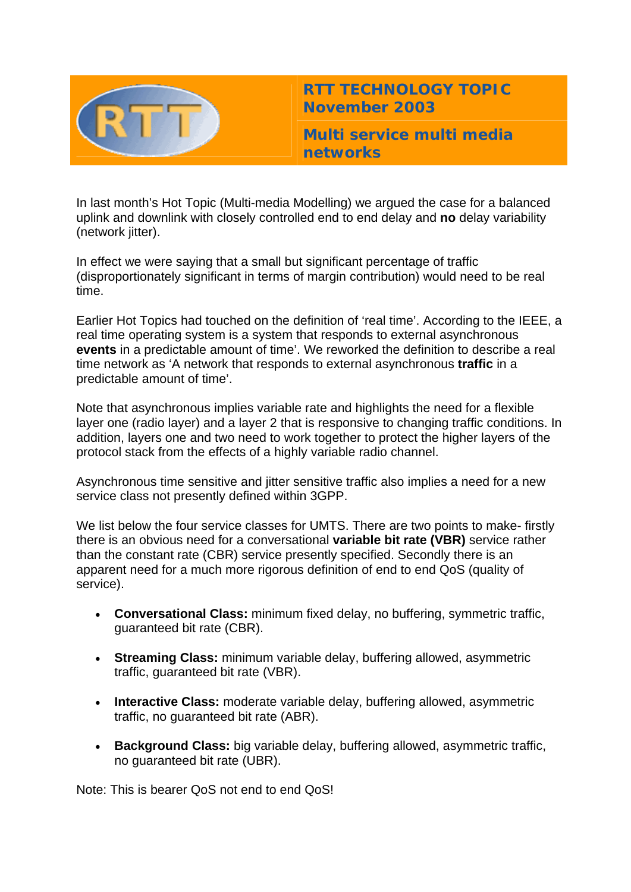

**RTT TECHNOLOGY TOPIC November 2003**

**Multi service multi media networks** 

In last month's Hot Topic (Multi-media Modelling) we argued the case for a balanced uplink and downlink with closely controlled end to end delay and **no** delay variability (network jitter).

In effect we were saying that a small but significant percentage of traffic (disproportionately significant in terms of margin contribution) would need to be real time.

Earlier Hot Topics had touched on the definition of 'real time'. According to the IEEE, a real time operating system is a system that responds to external asynchronous **events** in a predictable amount of time'. We reworked the definition to describe a real time network as 'A network that responds to external asynchronous **traffic** in a predictable amount of time'.

Note that asynchronous implies variable rate and highlights the need for a flexible layer one (radio layer) and a layer 2 that is responsive to changing traffic conditions. In addition, layers one and two need to work together to protect the higher layers of the protocol stack from the effects of a highly variable radio channel.

Asynchronous time sensitive and jitter sensitive traffic also implies a need for a new service class not presently defined within 3GPP.

We list below the four service classes for UMTS. There are two points to make- firstly there is an obvious need for a conversational **variable bit rate (VBR)** service rather than the constant rate (CBR) service presently specified. Secondly there is an apparent need for a much more rigorous definition of end to end QoS (quality of service).

- **Conversational Class:** minimum fixed delay, no buffering, symmetric traffic, guaranteed bit rate (CBR).
- **Streaming Class:** minimum variable delay, buffering allowed, asymmetric traffic, guaranteed bit rate (VBR).
- **Interactive Class:** moderate variable delay, buffering allowed, asymmetric traffic, no guaranteed bit rate (ABR).
- **Background Class:** big variable delay, buffering allowed, asymmetric traffic, no guaranteed bit rate (UBR).

Note: This is bearer QoS not end to end QoS!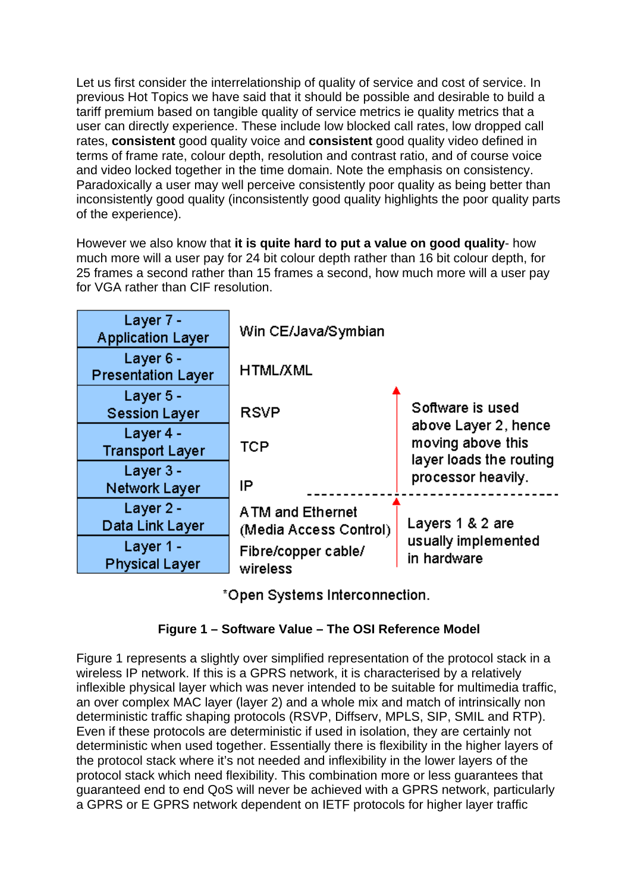Let us first consider the interrelationship of quality of service and cost of service. In previous Hot Topics we have said that it should be possible and desirable to build a tariff premium based on tangible quality of service metrics ie quality metrics that a user can directly experience. These include low blocked call rates, low dropped call rates, **consistent** good quality voice and **consistent** good quality video defined in terms of frame rate, colour depth, resolution and contrast ratio, and of course voice and video locked together in the time domain. Note the emphasis on consistency. Paradoxically a user may well perceive consistently poor quality as being better than inconsistently good quality (inconsistently good quality highlights the poor quality parts of the experience).

However we also know that **it is quite hard to put a value on good quality**- how much more will a user pay for 24 bit colour depth rather than 16 bit colour depth, for 25 frames a second rather than 15 frames a second, how much more will a user pay for VGA rather than CIF resolution.

| Layer 7 -<br><b>Application Layer</b>  | Win CE/Java/Symbian                               |                                                                      |
|----------------------------------------|---------------------------------------------------|----------------------------------------------------------------------|
| Layer 6 -<br><b>Presentation Layer</b> | <b>HTML/XML</b>                                   |                                                                      |
| Layer 5 -<br><b>Session Layer</b>      | <b>RSVP</b>                                       | Software is used                                                     |
| Layer 4 -<br><b>Transport Layer</b>    | TCP                                               | above Layer 2, hence<br>moving above this<br>layer loads the routing |
| Layer 3 -<br>Network Layer             | IP                                                | processor heavily.                                                   |
| Layer 2 -<br>Data Link Layer           | <b>ATM and Ethernet</b><br>(Media Access Control) | Layers 1 & 2 are                                                     |
| Layer 1 -<br><b>Physical Layer</b>     | Fibre/copper cable/<br>wireless                   | usually implemented<br>in hardware                                   |

\*Open Systems Interconnection.

## **Figure 1 – Software Value – The OSI Reference Model**

Figure 1 represents a slightly over simplified representation of the protocol stack in a wireless IP network. If this is a GPRS network, it is characterised by a relatively inflexible physical layer which was never intended to be suitable for multimedia traffic, an over complex MAC layer (layer 2) and a whole mix and match of intrinsically non deterministic traffic shaping protocols (RSVP, Diffserv, MPLS, SIP, SMIL and RTP). Even if these protocols are deterministic if used in isolation, they are certainly not deterministic when used together. Essentially there is flexibility in the higher layers of the protocol stack where it's not needed and inflexibility in the lower layers of the protocol stack which need flexibility. This combination more or less guarantees that guaranteed end to end QoS will never be achieved with a GPRS network, particularly a GPRS or E GPRS network dependent on IETF protocols for higher layer traffic